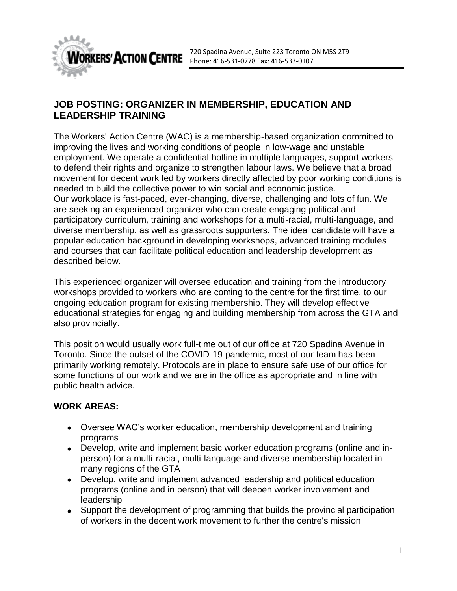

## **JOB POSTING: ORGANIZER IN MEMBERSHIP, EDUCATION AND LEADERSHIP TRAINING**

The Workers' Action Centre (WAC) is a membership-based organization committed to improving the lives and working conditions of people in low-wage and unstable employment. We operate a confidential hotline in multiple languages, support workers to defend their rights and organize to strengthen labour laws. We believe that a broad movement for decent work led by workers directly affected by poor working conditions is needed to build the collective power to win social and economic justice. Our workplace is fast-paced, ever-changing, diverse, challenging and lots of fun. We are seeking an experienced organizer who can create engaging political and participatory curriculum, training and workshops for a multi-racial, multi-language, and diverse membership, as well as grassroots supporters. The ideal candidate will have a popular education background in developing workshops, advanced training modules and courses that can facilitate political education and leadership development as described below.

This experienced organizer will oversee education and training from the introductory workshops provided to workers who are coming to the centre for the first time, to our ongoing education program for existing membership. They will develop effective educational strategies for engaging and building membership from across the GTA and also provincially.

This position would usually work full-time out of our office at 720 Spadina Avenue in Toronto. Since the outset of the COVID-19 pandemic, most of our team has been primarily working remotely. Protocols are in place to ensure safe use of our office for some functions of our work and we are in the office as appropriate and in line with public health advice.

## **WORK AREAS:**

- Oversee WAC's worker education, membership development and training programs
- Develop, write and implement basic worker education programs (online and inperson) for a multi-racial, multi-language and diverse membership located in many regions of the GTA
- Develop, write and implement advanced leadership and political education programs (online and in person) that will deepen worker involvement and leadership
- Support the development of programming that builds the provincial participation of workers in the decent work movement to further the centre's mission